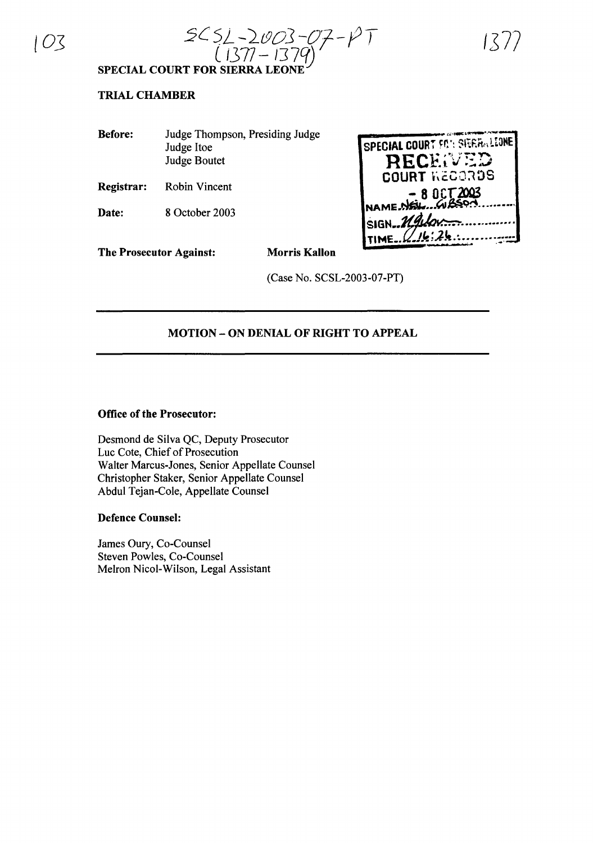$103$   $2C52 - 2003 - 07 - 1770$ ( 1377 – 1379)

1:S *7'7*

**SPECIAL COURT FOR SIERRA LEONE**

## **TRIAL CHAMBER**

| <b>Before:</b> | Judge Thompson, Presiding Judge |
|----------------|---------------------------------|
|                | Judge Itoe                      |
|                | <b>Judge Boutet</b>             |
|                |                                 |

**Registrar:** Robin Vincent

**Date:** 8 October 2003

| SPECIAL COURT FON SIERRALIONE |
|-------------------------------|
| RECENED                       |
| <b>COURT KECORDS</b>          |
| - 8 DCT 2003                  |
|                               |
| SIGN_Madon                    |
| 2!2!                          |

**The Prosecutor Against: Morris Kallon**

(Case No. SCSL-2003-07-PT)

## **MOTION - ON DENIAL OF RIGHT TO APPEAL**

### **Office of the Prosecutor:**

Desmond de Silva QC, Deputy Prosecutor Luc Cote, Chief of Prosecution Walter Marcus-Jones, Senior Appellate Counsel Christopher Staker, Senior Appellate Counsel Abdul Tejan-Cole, Appellate Counsel

### **Defence Counsel:**

James Oury, Co-Counsel Steven Powles, Co-Counsel Melron Nicol-Wilson, Legal Assistant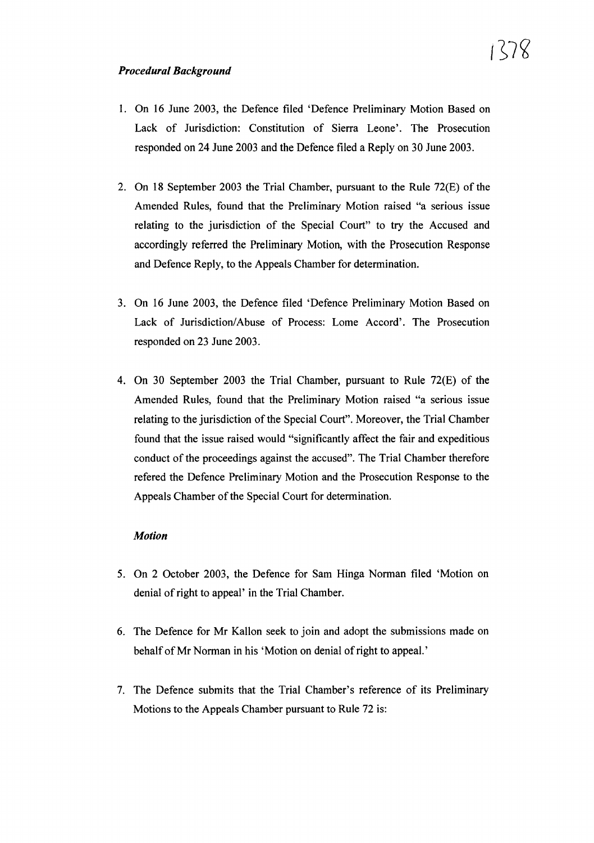- 1. On 16 June 2003, the Defence filed 'Defence Preliminary Motion Based on Lack of Jurisdiction: Constitution of Sierra Leone'. The Prosecution responded on 24 June 2003 and the Defence filed a Reply on 30 June 2003.
- 2. On 18 September 2003 the Trial Chamber, pursuant to the Rule  $72(E)$  of the Amended Rules, found that the Preliminary Motion raised "a serious issue relating to the jurisdiction of the Special Court" to try the Accused and accordingly referred the Preliminary Motion, with the Prosecution Response and Defence Reply, to the Appeals Chamber for determination.
- 3. On 16 June 2003, the Defence filed 'Defence Preliminary Motion Based on Lack of Jurisdiction/Abuse of Process: Lome Accord'. The Prosecution responded on 23 June 2003.
- 4. On 30 September 2003 the Trial Chamber, pursuant to Rule  $72(E)$  of the Amended Rules, found that the Preliminary Motion raised "a serious issue relating to the jurisdiction of the Special Court". Moreover, the Trial Chamber found that the issue raised would "significantly affect the fair and expeditious conduct of the proceedings against the accused". The Trial Chamber therefore refered the Defence Preliminary Motion and the Prosecution Response to the Appeals Chamber of the Special Court for determination.

### *Motion*

- 5. On 2 October 2003, the Defence for Sam Hinga Norman filed 'Motion on denial of right to appeal' in the Trial Chamber.
- 6. The Defence for Mr Kallon seek to join and adopt the submissions made on behalf of Mr Norman in his 'Motion on denial of right to appeal.'
- 7. The Defence submits that the Trial Chamber's reference of its Preliminary Motions to the Appeals Chamber pursuant to Rule 72 is: